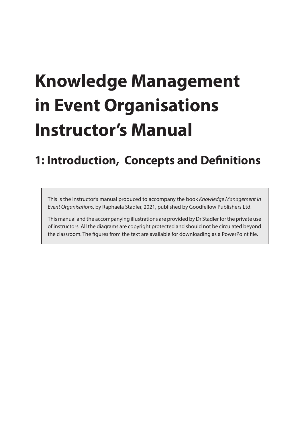# **Knowledge Management in Event Organisations Instructor's Manual**

## **1: Introduction, Concepts and Definitions**

This is the instructor's manual produced to accompany the book *Knowledge Management in Event Organisations*, by Raphaela Stadler, 2021, published by Goodfellow Publishers Ltd.

This manual and the accompanying illustrations are provided by Dr Stadler for the private use of instructors. All the diagrams are copyright protected and should not be circulated beyond the classroom. The figures from the text are available for downloading as a PowerPoint file.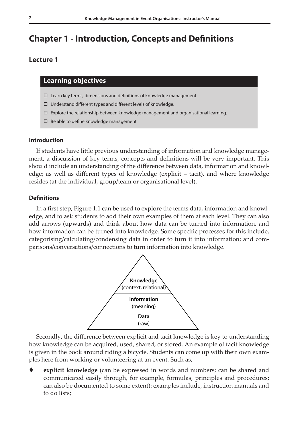### **Chapter 1 - Introduction, Concepts and Definitions**

#### **Lecture 1**

#### **Learning objectives**

- $\square$  Learn key terms, dimensions and definitions of knowledge management.
- $\Box$  Understand different types and different levels of knowledge.
- $\Box$  Explore the relationship between knowledge management and organisational learning.
- $\Box$  Be able to define knowledge management

#### **Introduction**

If students have little previous understanding of information and knowledge management, a discussion of key terms, concepts and definitions will be very important. This should include an understanding of the difference between data, information and knowledge; as well as different types of knowledge (explicit – tacit), and where knowledge resides (at the individual, group/team or organisational level).

#### **Definitions**

In a first step, Figure 1.1 can be used to explore the terms data, information and knowledge, and to ask students to add their own examples of them at each level. They can also add arrows (upwards) and think about how data can be turned into information, and how information can be turned into knowledge. Some specific processes for this include, categorising/calculating/condensing data in order to turn it into information; and comparisons/conversations/connections to turn information into knowledge.



Secondly, the difference between explicit and tacit knowledge is key to understanding how knowledge can be acquired, used, shared, or stored. An example of tacit knowledge is given in the book around riding a bicycle. Students can come up with their own examples here from working or volunteering at an event. Such as,

 **explicit knowledge** (can be expressed in words and numbers; can be shared and communicated easily through, for example, formulas, principles and procedures; can also be documented to some extent): examples include, instruction manuals and to do lists;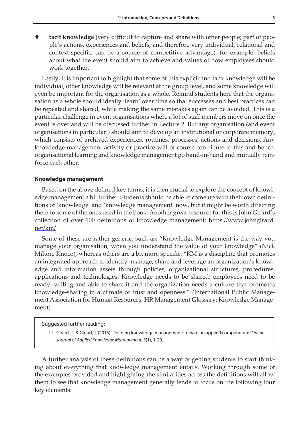**tacit knowledge** (very difficult to capture and share with other people; part of people's actions, experiences and beliefs, and therefore very individual, relational and context-specific; can be a source of competitive advantage): for example, beliefs about what the event should aim to achieve and values of how employees should work together.

Lastly, it is important to highlight that some of this explicit and tacit knowledge will be individual, other knowledge will be relevant at the group level, and some knowledge will even be important for the organisation as a whole. Remind students here that the organisation as a whole should ideally 'learn' over time so that successes and best practices can be repeated and shared, while making the same mistakes again can be avoided. This is a particular challenge in event organisations where a lot of staff members move on once the event is over and will be discussed further in Lecture 2. But any organisation (and event organisations in particular!) should aim to develop an institutional or corporate memory, which consists of archived experiences, routines, processes, actions and decisions. Any knowledge management activity or practice will of course contribute to this and hence, organisational learning and knowledge management go hand-in-hand and mutually reinforce each other.

#### **Knowledge management**

Based on the above defined key terms, it is then crucial to explore the concept of knowledge management a bit further. Students should be able to come up with their own definitions of 'knowledge' and 'knowledge management' now, but it might be worth directing them to some of the ones used in the book. Another great resource for this is John Girard's collection of over 100 definitions of knowledge management: [https://www.johngirard.](https://www.johngirard.net/km/) [net/km/](https://www.johngirard.net/km/)

Some of these are rather generic, such as: "Knowledge Management is the way you manage your organisation, when you understand the value of your knowledge" (Nick Milton, Knoco), whereas others are a bit more specific: "KM is a discipline that promotes an integrated approach to identify, manage, share and leverage an organization's knowledge and information assets through policies, organizational structures, procedures, applications and technologies. Knowledge needs to be shared; employees need to be ready, willing and able to share it and the organization needs a culture that promotes knowledge-sharing in a climate of trust and openness." (International Public Management Association for Human Resources; HR Management Glossary: Knowledge Management)

#### Suggested further reading:

 Girard, J., & Girard, J. (2015). Defining knowledge management: Toward an applied compendium. *Online Journal of Applied Knowledge Management*, *3*(1), 1-20.

A further analysis of these definitions can be a way of getting students to start thinking about everything that knowledge management entails. Working through some of the examples provided and highlighting the similarities across the definitions will allow them to see that knowledge management generally tends to focus on the following four key elements: